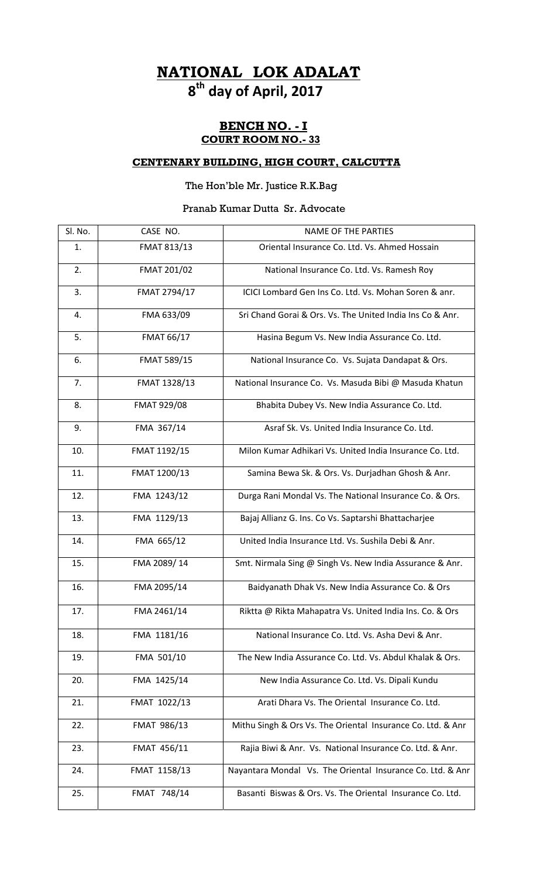# **NATIONAL LOK ADALAT 8th day of April, 2017**

### **BENCH NO. - I COURT ROOM NO.- 33**

#### **CENTENARY BUILDING, HIGH COURT, CALCUTTA**

## The Hon'ble Mr. Justice R.K.Bag

## Pranab Kumar Dutta Sr. Advocate

| Sl. No. | CASE NO.          | <b>NAME OF THE PARTIES</b>                                  |
|---------|-------------------|-------------------------------------------------------------|
| 1.      | FMAT 813/13       | Oriental Insurance Co. Ltd. Vs. Ahmed Hossain               |
| 2.      | FMAT 201/02       | National Insurance Co. Ltd. Vs. Ramesh Roy                  |
| 3.      | FMAT 2794/17      | ICICI Lombard Gen Ins Co. Ltd. Vs. Mohan Soren & anr.       |
| 4.      | FMA 633/09        | Sri Chand Gorai & Ors. Vs. The United India Ins Co & Anr.   |
| 5.      | <b>FMAT 66/17</b> | Hasina Begum Vs. New India Assurance Co. Ltd.               |
| 6.      | FMAT 589/15       | National Insurance Co. Vs. Sujata Dandapat & Ors.           |
| 7.      | FMAT 1328/13      | National Insurance Co. Vs. Masuda Bibi @ Masuda Khatun      |
| 8.      | FMAT 929/08       | Bhabita Dubey Vs. New India Assurance Co. Ltd.              |
| 9.      | FMA 367/14        | Asraf Sk. Vs. United India Insurance Co. Ltd.               |
| 10.     | FMAT 1192/15      | Milon Kumar Adhikari Vs. United India Insurance Co. Ltd.    |
| 11.     | FMAT 1200/13      | Samina Bewa Sk. & Ors. Vs. Durjadhan Ghosh & Anr.           |
| 12.     | FMA 1243/12       | Durga Rani Mondal Vs. The National Insurance Co. & Ors.     |
| 13.     | FMA 1129/13       | Bajaj Allianz G. Ins. Co Vs. Saptarshi Bhattacharjee        |
| 14.     | FMA 665/12        | United India Insurance Ltd. Vs. Sushila Debi & Anr.         |
| 15.     | FMA 2089/14       | Smt. Nirmala Sing @ Singh Vs. New India Assurance & Anr.    |
| 16.     | FMA 2095/14       | Baidyanath Dhak Vs. New India Assurance Co. & Ors           |
| 17.     | FMA 2461/14       | Riktta @ Rikta Mahapatra Vs. United India Ins. Co. & Ors    |
| 18.     | FMA 1181/16       | National Insurance Co. Ltd. Vs. Asha Devi & Anr.            |
| 19.     | FMA 501/10        | The New India Assurance Co. Ltd. Vs. Abdul Khalak & Ors.    |
| 20.     | FMA 1425/14       | New India Assurance Co. Ltd. Vs. Dipali Kundu               |
| 21.     | FMAT 1022/13      | Arati Dhara Vs. The Oriental Insurance Co. Ltd.             |
| 22.     | FMAT 986/13       | Mithu Singh & Ors Vs. The Oriental Insurance Co. Ltd. & Anr |
| 23.     | FMAT 456/11       | Rajia Biwi & Anr. Vs. National Insurance Co. Ltd. & Anr.    |
| 24.     | FMAT 1158/13      | Nayantara Mondal Vs. The Oriental Insurance Co. Ltd. & Anr  |
| 25.     | FMAT 748/14       | Basanti Biswas & Ors. Vs. The Oriental Insurance Co. Ltd.   |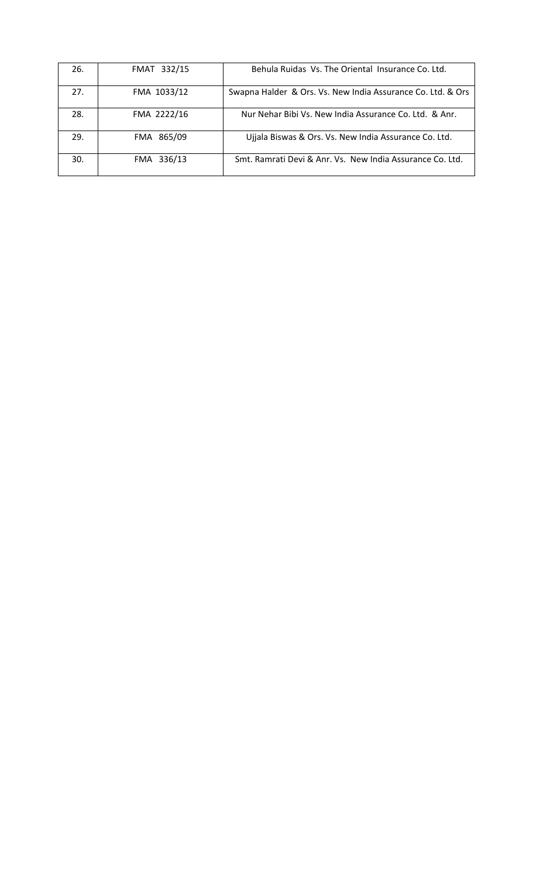| 26. | FMAT 332/15 | Behula Ruidas Vs. The Oriental Insurance Co. Ltd.           |
|-----|-------------|-------------------------------------------------------------|
| 27. | FMA 1033/12 | Swapna Halder & Ors. Vs. New India Assurance Co. Ltd. & Ors |
| 28. | FMA 2222/16 | Nur Nehar Bibi Vs. New India Assurance Co. Ltd. & Anr.      |
| 29. | FMA 865/09  | Ujjala Biswas & Ors. Vs. New India Assurance Co. Ltd.       |
| 30. | FMA 336/13  | Smt. Ramrati Devi & Anr. Vs. New India Assurance Co. Ltd.   |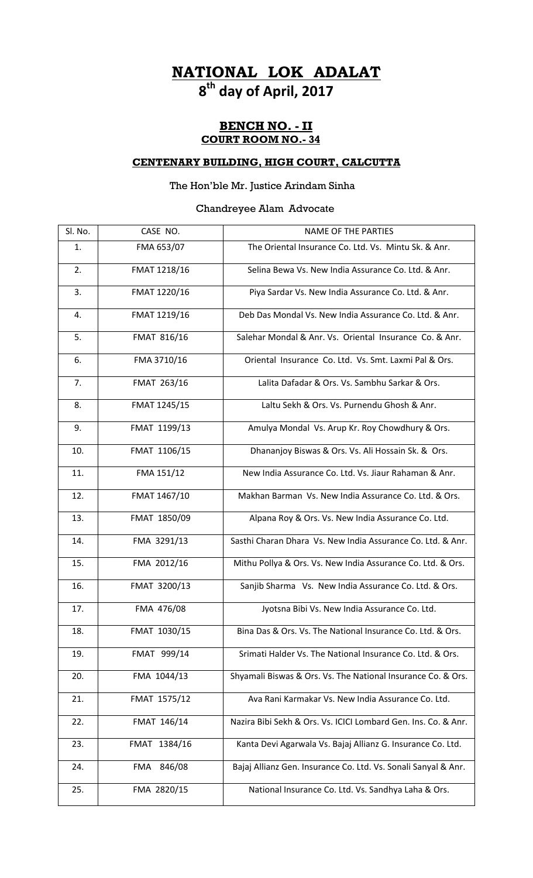# **NATIONAL LOK ADALAT 8th day of April, 2017**

### **BENCH NO. - II COURT ROOM NO.- 34**

#### **CENTENARY BUILDING, HIGH COURT, CALCUTTA**

## The Hon'ble Mr. Justice Arindam Sinha

## Chandreyee Alam Advocate

| Sl. No. | CASE NO.      | <b>NAME OF THE PARTIES</b>                                     |
|---------|---------------|----------------------------------------------------------------|
| 1.      | FMA 653/07    | The Oriental Insurance Co. Ltd. Vs. Mintu Sk. & Anr.           |
| 2.      | FMAT 1218/16  | Selina Bewa Vs. New India Assurance Co. Ltd. & Anr.            |
| 3.      | FMAT 1220/16  | Piya Sardar Vs. New India Assurance Co. Ltd. & Anr.            |
| 4.      | FMAT 1219/16  | Deb Das Mondal Vs. New India Assurance Co. Ltd. & Anr.         |
| 5.      | FMAT 816/16   | Salehar Mondal & Anr. Vs. Oriental Insurance Co. & Anr.        |
| 6.      | FMA 3710/16   | Oriental Insurance Co. Ltd. Vs. Smt. Laxmi Pal & Ors.          |
| 7.      | FMAT 263/16   | Lalita Dafadar & Ors. Vs. Sambhu Sarkar & Ors.                 |
| 8.      | FMAT 1245/15  | Laltu Sekh & Ors. Vs. Purnendu Ghosh & Anr.                    |
| 9.      | FMAT 1199/13  | Amulya Mondal Vs. Arup Kr. Roy Chowdhury & Ors.                |
| 10.     | FMAT 1106/15  | Dhananjoy Biswas & Ors. Vs. Ali Hossain Sk. & Ors.             |
| 11.     | FMA 151/12    | New India Assurance Co. Ltd. Vs. Jiaur Rahaman & Anr.          |
| 12.     | FMAT 1467/10  | Makhan Barman Vs. New India Assurance Co. Ltd. & Ors.          |
| 13.     | FMAT 1850/09  | Alpana Roy & Ors. Vs. New India Assurance Co. Ltd.             |
| 14.     | FMA 3291/13   | Sasthi Charan Dhara Vs. New India Assurance Co. Ltd. & Anr.    |
| 15.     | FMA 2012/16   | Mithu Pollya & Ors. Vs. New India Assurance Co. Ltd. & Ors.    |
| 16.     | FMAT 3200/13  | Sanjib Sharma Vs. New India Assurance Co. Ltd. & Ors.          |
| 17.     | FMA 476/08    | Jyotsna Bibi Vs. New India Assurance Co. Ltd.                  |
| 18.     | FMAT 1030/15  | Bina Das & Ors. Vs. The National Insurance Co. Ltd. & Ors.     |
| 19.     | FMAT 999/14   | Srimati Halder Vs. The National Insurance Co. Ltd. & Ors.      |
| 20.     | FMA 1044/13   | Shyamali Biswas & Ors. Vs. The National Insurance Co. & Ors.   |
| 21.     | FMAT 1575/12  | Ava Rani Karmakar Vs. New India Assurance Co. Ltd.             |
| 22.     | FMAT 146/14   | Nazira Bibi Sekh & Ors. Vs. ICICI Lombard Gen. Ins. Co. & Anr. |
| 23.     | FMAT 1384/16  | Kanta Devi Agarwala Vs. Bajaj Allianz G. Insurance Co. Ltd.    |
| 24.     | 846/08<br>FMA | Bajaj Allianz Gen. Insurance Co. Ltd. Vs. Sonali Sanyal & Anr. |
| 25.     | FMA 2820/15   | National Insurance Co. Ltd. Vs. Sandhya Laha & Ors.            |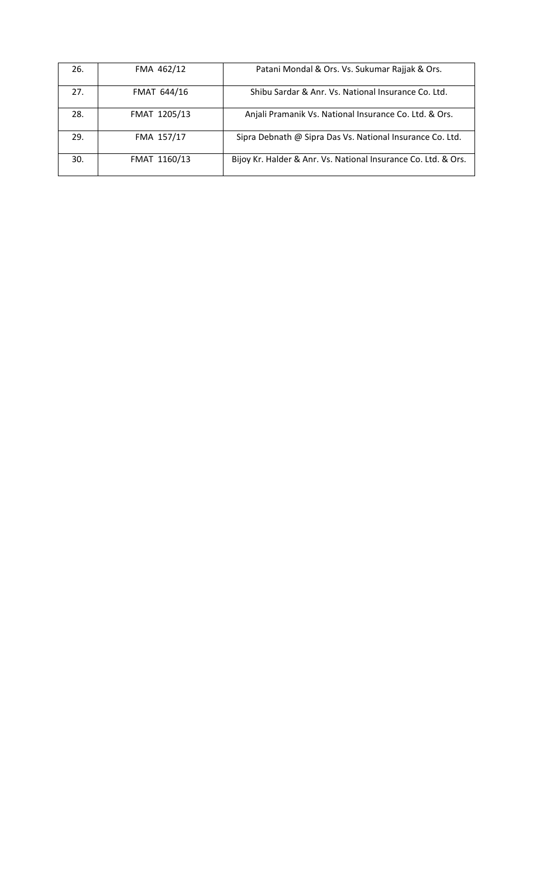| 26. | FMA 462/12   | Patani Mondal & Ors. Vs. Sukumar Rajjak & Ors.                 |
|-----|--------------|----------------------------------------------------------------|
| 27. | FMAT 644/16  | Shibu Sardar & Anr. Vs. National Insurance Co. Ltd.            |
| 28. | FMAT 1205/13 | Anjali Pramanik Vs. National Insurance Co. Ltd. & Ors.         |
| 29. | FMA 157/17   | Sipra Debnath @ Sipra Das Vs. National Insurance Co. Ltd.      |
| 30. | FMAT 1160/13 | Bijoy Kr. Halder & Anr. Vs. National Insurance Co. Ltd. & Ors. |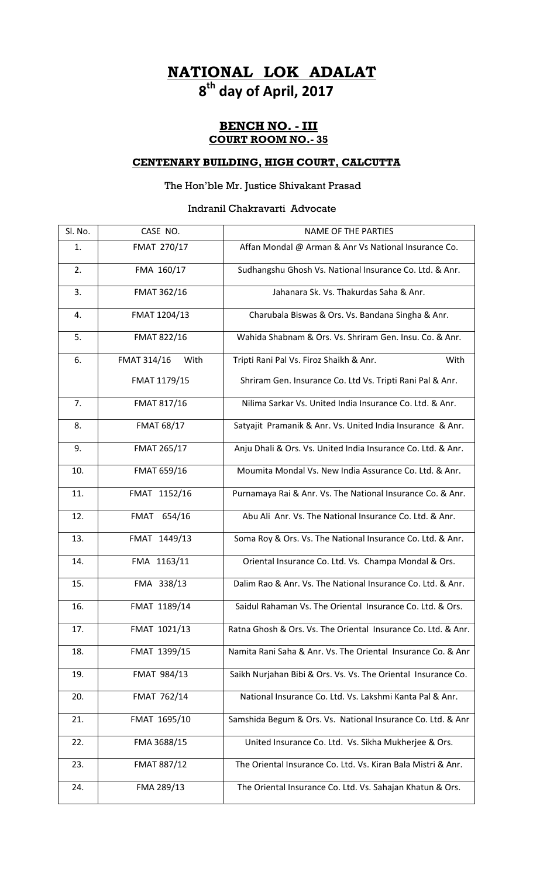# **NATIONAL LOK ADALAT 8th day of April, 2017**

### **BENCH NO. - III COURT ROOM NO.- 35**

#### **CENTENARY BUILDING, HIGH COURT, CALCUTTA**

## The Hon'ble Mr. Justice Shivakant Prasad

#### Indranil Chakravarti Advocate

| Sl. No. | CASE NO.            | <b>NAME OF THE PARTIES</b>                                    |
|---------|---------------------|---------------------------------------------------------------|
| 1.      | FMAT 270/17         | Affan Mondal @ Arman & Anr Vs National Insurance Co.          |
| 2.      | FMA 160/17          | Sudhangshu Ghosh Vs. National Insurance Co. Ltd. & Anr.       |
| 3.      | FMAT 362/16         | Jahanara Sk. Vs. Thakurdas Saha & Anr.                        |
| 4.      | FMAT 1204/13        | Charubala Biswas & Ors. Vs. Bandana Singha & Anr.             |
| 5.      | FMAT 822/16         | Wahida Shabnam & Ors. Vs. Shriram Gen. Insu. Co. & Anr.       |
| 6.      | FMAT 314/16<br>With | Tripti Rani Pal Vs. Firoz Shaikh & Anr.<br>With               |
|         | FMAT 1179/15        | Shriram Gen. Insurance Co. Ltd Vs. Tripti Rani Pal & Anr.     |
| 7.      | FMAT 817/16         | Nilima Sarkar Vs. United India Insurance Co. Ltd. & Anr.      |
| 8.      | <b>FMAT 68/17</b>   | Satyajit Pramanik & Anr. Vs. United India Insurance & Anr.    |
| 9.      | FMAT 265/17         | Anju Dhali & Ors. Vs. United India Insurance Co. Ltd. & Anr.  |
| 10.     | FMAT 659/16         | Moumita Mondal Vs. New India Assurance Co. Ltd. & Anr.        |
| 11.     | FMAT 1152/16        | Purnamaya Rai & Anr. Vs. The National Insurance Co. & Anr.    |
| 12.     | FMAT 654/16         | Abu Ali Anr. Vs. The National Insurance Co. Ltd. & Anr.       |
| 13.     | FMAT 1449/13        | Soma Roy & Ors. Vs. The National Insurance Co. Ltd. & Anr.    |
| 14.     | FMA 1163/11         | Oriental Insurance Co. Ltd. Vs. Champa Mondal & Ors.          |
| 15.     | FMA 338/13          | Dalim Rao & Anr. Vs. The National Insurance Co. Ltd. & Anr.   |
| 16.     | FMAT 1189/14        | Saidul Rahaman Vs. The Oriental Insurance Co. Ltd. & Ors.     |
| 17.     | FMAT 1021/13        | Ratna Ghosh & Ors. Vs. The Oriental Insurance Co. Ltd. & Anr. |
| 18.     | FMAT 1399/15        | Namita Rani Saha & Anr. Vs. The Oriental Insurance Co. & Anr  |
| 19.     | FMAT 984/13         | Saikh Nurjahan Bibi & Ors. Vs. Vs. The Oriental Insurance Co. |
| 20.     | FMAT 762/14         | National Insurance Co. Ltd. Vs. Lakshmi Kanta Pal & Anr.      |
| 21.     | FMAT 1695/10        | Samshida Begum & Ors. Vs. National Insurance Co. Ltd. & Anr   |
| 22.     | FMA 3688/15         | United Insurance Co. Ltd. Vs. Sikha Mukherjee & Ors.          |
| 23.     | FMAT 887/12         | The Oriental Insurance Co. Ltd. Vs. Kiran Bala Mistri & Anr.  |
| 24.     | FMA 289/13          | The Oriental Insurance Co. Ltd. Vs. Sahajan Khatun & Ors.     |